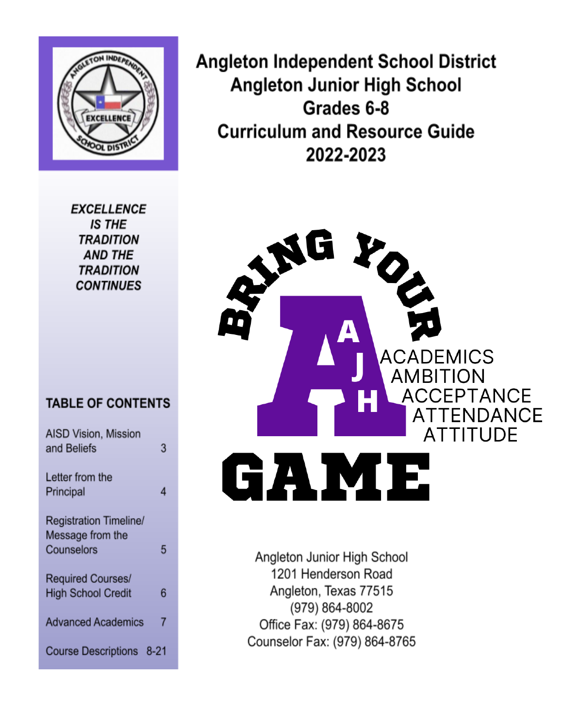

**EXCELLENCE IS THE TRADITION AND THE TRADITION CONTINUES** 

# **TABLE OF CONTENTS**

| <b>AISD Vision, Mission</b><br>and Beliefs | 3 |
|--------------------------------------------|---|
| Letter from the<br>Principal               | 4 |
| Registration Timeline/                     |   |
| Message from the<br>Counselors             | 5 |
| Required Courses/                          |   |
| <b>High School Credit</b>                  | 6 |
| <b>Advanced Academics</b>                  | 7 |
| Course Descriptions 8-21                   |   |

**Angleton Independent School District Angleton Junior High School** Grades 6-8 **Curriculum and Resource Guide** 2022-2023



Angleton Junior High School 1201 Henderson Road Angleton, Texas 77515 (979) 864-8002 Office Fax: (979) 864-8675 Counselor Fax: (979) 864-8765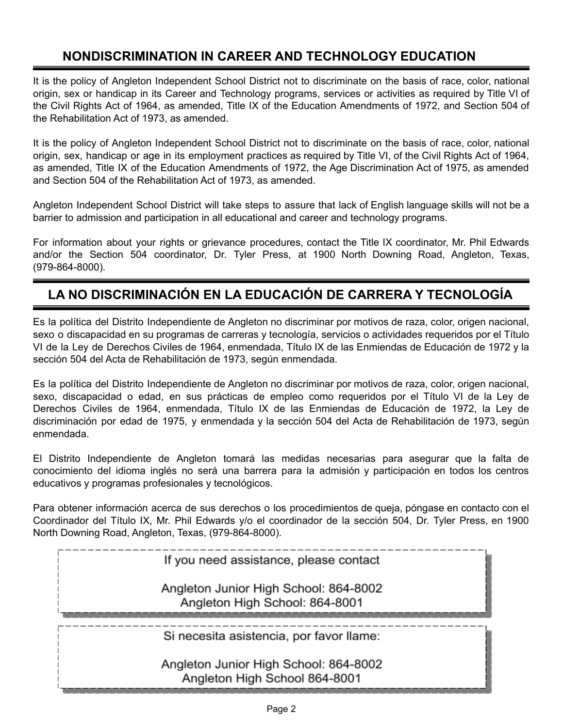# **NONDISCRIMINATION IN CAREER AND TECHNOLOGY EDUCATION**

It is the policy of Angleton Independent School District not to discriminate on the basis of race, color, national origin, sex or handicap in its Career and Technology programs, services or activities as required by Title VI of the Civil Rights Act of 1964, as amended, Title IX of the Education Amendments of 1972, and Section 504 of the Rehabilitation Act of 1973, as amended.

It is the policy of Angleton Independent School District not to discriminate on the basis of race, color, national origin, sex, handicap or age in its employment practices as required by Title VI, of the Civil Rights Act of 1964, as amended, Title IX of the Education Amendments of 1972, the Age Discrimination Act of 1975, as amended and Section 504 of the Rehabilitation Act of 1973, as amended.

Angleton Independent School District will take steps to assure that lack of English language skills will not be a barrier to admission and participation in all educational and career and technology programs.

For information about your rights or grievance procedures, contact the Title IX coordinator, Mr. Phil Edwards and/or the Section 504 coordinator, Dr. Tyler Press, at 1900 North Downing Road, Angleton, Texas, (979-864-8000).

# **LA NO DISCRIMINACIÓN EN LA EDUCACIÓN DE CARRERA Y TECNOLOGÍA**

Es la política del Distrito Independiente de Angleton no discriminar por motivos de raza, color, origen nacional, sexo o discapacidad en su programas de carreras y tecnología, servicios o actividades requeridos por el Título VI de la Ley de Derechos Civiles de 1964, enmendada, Título IX de las Enmiendas de Educación de 1972 y la sección 504 del Acta de Rehabilitación de 1973, según enmendada.

Es la política del Distrito Independiente de Angleton no discriminar por motivos de raza, color, origen nacional, sexo, discapacidad o edad, en sus prácticas de empleo como requeridos por el Título VI de la Ley de Derechos Civiles de 1964, enmendada, Título IX de las Enmiendas de Educación de 1972, la Ley de discriminación por edad de 1975, y enmendada y la sección 504 del Acta de Rehabilitación de 1973, según enmendada.

El Distrito Independiente de Angleton tomará las medidas necesarias para asegurar que la falta de conocimiento del idioma inglés no será una barrera para la admisión y participación en todos los centros educativos y programas profesionales y tecnológicos.

Para obtener información acerca de sus derechos o los procedimientos de queja, póngase en contacto con el Coordinador del Título IX, Mr. Phil Edwards y/o el coordinador de la sección 504, Dr. Tyler Press, en 1900 North Downing Road, Angleton, Texas, (979-864-8000).

If you need assistance, please contact

Angleton Junior High School: 864-8002 Angleton High School: 864-8001

Si necesita asistencia, por favor llame:

Angleton Junior High School: 864-8002 Angleton High School 864-8001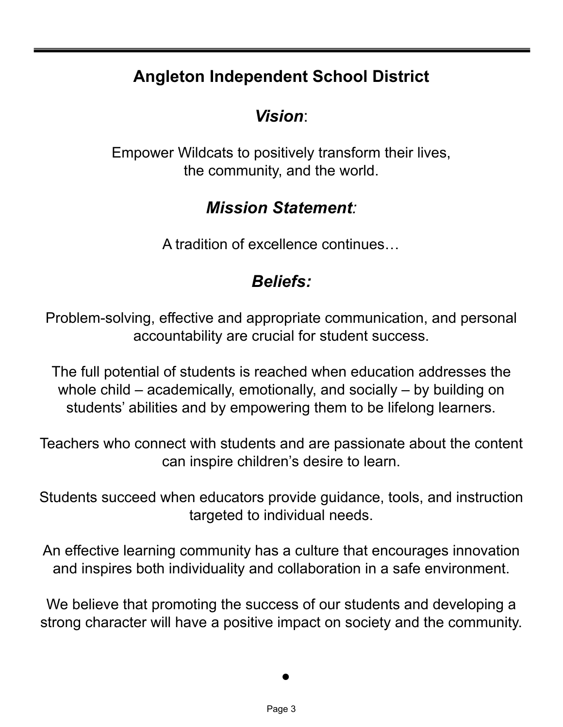# **Angleton Independent School District**

# *Vision*:

Empower Wildcats to positively transform their lives, the community, and the world.

# *Mission Statement:*

A tradition of excellence continues…

# *Beliefs:*

Problem-solving, effective and appropriate communication, and personal accountability are crucial for student success.

The full potential of students is reached when education addresses the whole child – academically, emotionally, and socially – by building on students' abilities and by empowering them to be lifelong learners.

Teachers who connect with students and are passionate about the content can inspire children's desire to learn.

Students succeed when educators provide guidance, tools, and instruction targeted to individual needs.

An effective learning community has a culture that encourages innovation and inspires both individuality and collaboration in a safe environment.

We believe that promoting the success of our students and developing a strong character will have a positive impact on society and the community.

 $\bullet$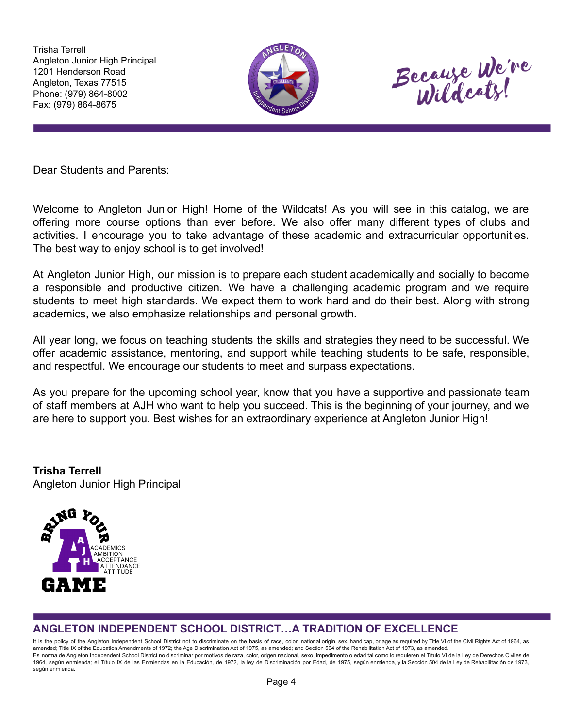Trisha Terrell Angleton Junior High Principal 1201 Henderson Road Angleton, Texas 77515 Phone: (979) 864-8002 Fax: (979) 864-8675





Dear Students and Parents:

Welcome to Angleton Junior High! Home of the Wildcats! As you will see in this catalog, we are offering more course options than ever before. We also offer many different types of clubs and activities. I encourage you to take advantage of these academic and extracurricular opportunities. The best way to enjoy school is to get involved!

At Angleton Junior High, our mission is to prepare each student academically and socially to become a responsible and productive citizen. We have a challenging academic program and we require students to meet high standards. We expect them to work hard and do their best. Along with strong academics, we also emphasize relationships and personal growth.

All year long, we focus on teaching students the skills and strategies they need to be successful. We offer academic assistance, mentoring, and support while teaching students to be safe, responsible, and respectful. We encourage our students to meet and surpass expectations.

As you prepare for the upcoming school year, know that you have a supportive and passionate team of staff members at AJH who want to help you succeed. This is the beginning of your journey, and we are here to support you. Best wishes for an extraordinary experience at Angleton Junior High!

**Trisha Terrell** Angleton Junior High Principal



## **ANGLETON INDEPENDENT SCHOOL DISTRICT…A TRADITION OF EXCELLENCE**

It is the policy of the Angleton Independent School District not to discriminate on the basis of race, color, national origin, sex, handicap, or age as required by Title VI of the Civil Rights Act of 1964, as amended; Title IX of the Education Amendments of 1972; the Age Discrimination Act of 1975, as amended; and Section 504 of the Rehabilitation Act of 1973, as amended. Es norma de Angleton Independent School District no discriminar por motivos de raza, color, origen nacional, sexo, impedimento o edad tal como lo requieren el Título VI de la Ley de Derechos Civiles de 1964, según enmienda; el Título IX de las Enmiendas en la Educación, de 1972, la ley de Discriminación por Edad, de 1975, según enmienda, y la Sección 504 de la Ley de Rehabilitación de 1973, según enmienda.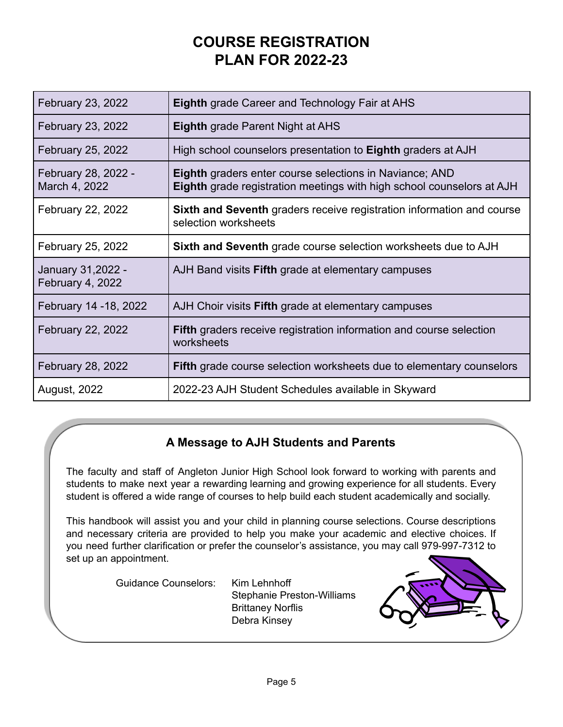# **COURSE REGISTRATION PLAN FOR 2022-23**

| February 23, 2022                      | <b>Eighth</b> grade Career and Technology Fair at AHS                                                                                   |
|----------------------------------------|-----------------------------------------------------------------------------------------------------------------------------------------|
| February 23, 2022                      | <b>Eighth</b> grade Parent Night at AHS                                                                                                 |
| February 25, 2022                      | High school counselors presentation to Eighth graders at AJH                                                                            |
| February 28, 2022 -<br>March 4, 2022   | <b>Eighth</b> graders enter course selections in Naviance; AND<br>Eighth grade registration meetings with high school counselors at AJH |
| February 22, 2022                      | <b>Sixth and Seventh</b> graders receive registration information and course<br>selection worksheets                                    |
| February 25, 2022                      | Sixth and Seventh grade course selection worksheets due to AJH                                                                          |
| January 31, 2022 -<br>February 4, 2022 | AJH Band visits <b>Fifth</b> grade at elementary campuses                                                                               |
| February 14 - 18, 2022                 | AJH Choir visits Fifth grade at elementary campuses                                                                                     |
| February 22, 2022                      | <b>Fifth</b> graders receive registration information and course selection<br>worksheets                                                |
| February 28, 2022                      | <b>Fifth</b> grade course selection worksheets due to elementary counselors                                                             |
| <b>August, 2022</b>                    | 2022-23 AJH Student Schedules available in Skyward                                                                                      |

## **A Message to AJH Students and Parents**

The faculty and staff of Angleton Junior High School look forward to working with parents and students to make next year a rewarding learning and growing experience for all students. Every student is offered a wide range of courses to help build each student academically and socially.

This handbook will assist you and your child in planning course selections. Course descriptions and necessary criteria are provided to help you make your academic and elective choices. If you need further clarification or prefer the counselor's assistance, you may call 979-997-7312 to set up an appointment.

Guidance Counselors: Kim Lehnhoff

Stephanie Preston-Williams Brittaney Norflis Debra Kinsey

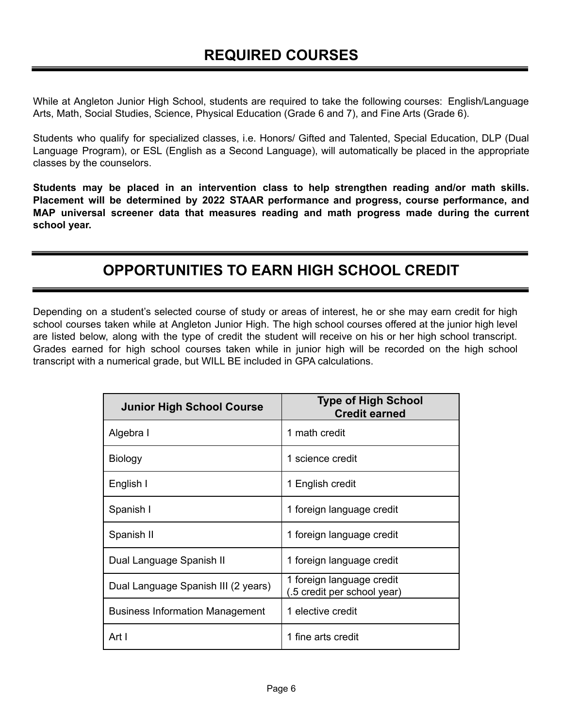While at Angleton Junior High School, students are required to take the following courses: English/Language Arts, Math, Social Studies, Science, Physical Education (Grade 6 and 7), and Fine Arts (Grade 6).

Students who qualify for specialized classes, i.e. Honors/ Gifted and Talented, Special Education, DLP (Dual Language Program), or ESL (English as a Second Language), will automatically be placed in the appropriate classes by the counselors.

**Students may be placed in an intervention class to help strengthen reading and/or math skills. Placement will be determined by 2022 STAAR performance and progress, course performance, and MAP universal screener data that measures reading and math progress made during the current school year.**

# **OPPORTUNITIES TO EARN HIGH SCHOOL CREDIT**

Depending on a student's selected course of study or areas of interest, he or she may earn credit for high school courses taken while at Angleton Junior High. The high school courses offered at the junior high level are listed below, along with the type of credit the student will receive on his or her high school transcript. Grades earned for high school courses taken while in junior high will be recorded on the high school transcript with a numerical grade, but WILL BE included in GPA calculations.

| <b>Junior High School Course</b>       | <b>Type of High School</b><br><b>Credit earned</b>       |
|----------------------------------------|----------------------------------------------------------|
| Algebra I                              | 1 math credit                                            |
| Biology                                | 1 science credit                                         |
| English I                              | 1 English credit                                         |
| Spanish I                              | 1 foreign language credit                                |
| Spanish II                             | 1 foreign language credit                                |
| Dual Language Spanish II               | 1 foreign language credit                                |
| Dual Language Spanish III (2 years)    | 1 foreign language credit<br>(.5 credit per school year) |
| <b>Business Information Management</b> | 1 elective credit                                        |
| Art I                                  | 1 fine arts credit                                       |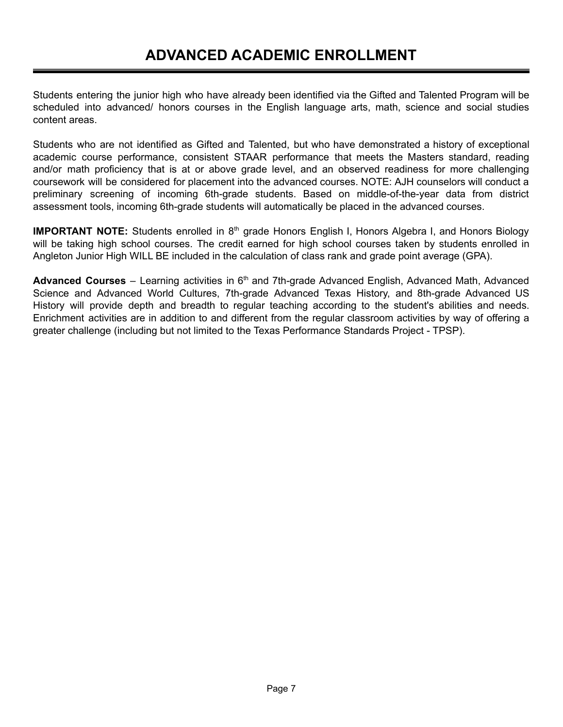Students entering the junior high who have already been identified via the Gifted and Talented Program will be scheduled into advanced/ honors courses in the English language arts, math, science and social studies content areas.

Students who are not identified as Gifted and Talented, but who have demonstrated a history of exceptional academic course performance, consistent STAAR performance that meets the Masters standard, reading and/or math proficiency that is at or above grade level, and an observed readiness for more challenging coursework will be considered for placement into the advanced courses. NOTE: AJH counselors will conduct a preliminary screening of incoming 6th-grade students. Based on middle-of-the-year data from district assessment tools, incoming 6th-grade students will automatically be placed in the advanced courses.

**IMPORTANT NOTE:** Students enrolled in 8<sup>th</sup> grade Honors English I, Honors Algebra I, and Honors Biology will be taking high school courses. The credit earned for high school courses taken by students enrolled in Angleton Junior High WILL BE included in the calculation of class rank and grade point average (GPA).

Advanced Courses - Learning activities in 6<sup>th</sup> and 7th-grade Advanced English, Advanced Math, Advanced Science and Advanced World Cultures, 7th-grade Advanced Texas History, and 8th-grade Advanced US History will provide depth and breadth to regular teaching according to the student's abilities and needs. Enrichment activities are in addition to and different from the regular classroom activities by way of offering a greater challenge (including but not limited to the Texas Performance Standards Project - TPSP).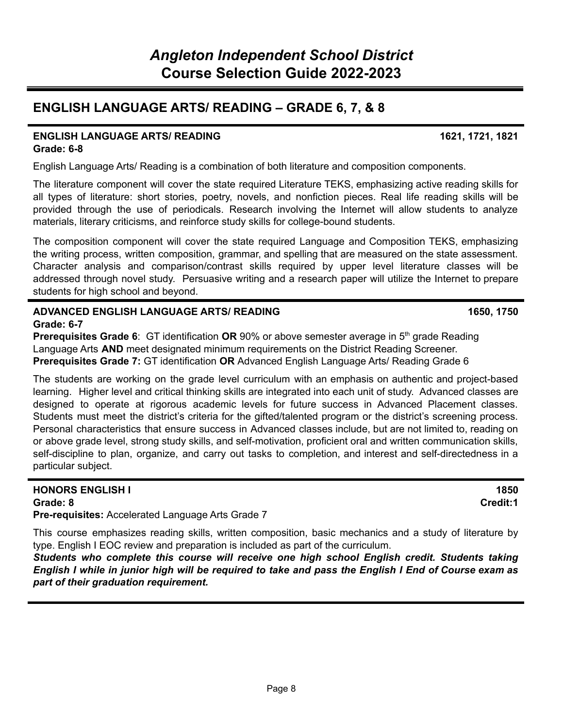# **ENGLISH LANGUAGE ARTS/ READING – GRADE 6, 7, & 8**

#### **ENGLISH LANGUAGE ARTS/ READING 1621, 1721, 1821 Grade: 6-8**

English Language Arts/ Reading is a combination of both literature and composition components.

The literature component will cover the state required Literature TEKS, emphasizing active reading skills for all types of literature: short stories, poetry, novels, and nonfiction pieces. Real life reading skills will be provided through the use of periodicals. Research involving the Internet will allow students to analyze materials, literary criticisms, and reinforce study skills for college-bound students.

The composition component will cover the state required Language and Composition TEKS, emphasizing the writing process, written composition, grammar, and spelling that are measured on the state assessment. Character analysis and comparison/contrast skills required by upper level literature classes will be addressed through novel study. Persuasive writing and a research paper will utilize the Internet to prepare students for high school and beyond.

#### **ADVANCED ENGLISH LANGUAGE ARTS/ READING 1650, 1750 Grade: 6-7**

**Prerequisites Grade 6:** GT identification OR 90% or above semester average in 5<sup>th</sup> grade Reading Language Arts **AND** meet designated minimum requirements on the District Reading Screener. **Prerequisites Grade 7:** GT identification **OR** Advanced English Language Arts/ Reading Grade 6

The students are working on the grade level curriculum with an emphasis on authentic and project-based learning. Higher level and critical thinking skills are integrated into each unit of study. Advanced classes are designed to operate at rigorous academic levels for future success in Advanced Placement classes. Students must meet the district's criteria for the gifted/talented program or the district's screening process. Personal characteristics that ensure success in Advanced classes include, but are not limited to, reading on or above grade level, strong study skills, and self-motivation, proficient oral and written communication skills, self-discipline to plan, organize, and carry out tasks to completion, and interest and self-directedness in a particular subject.

#### **HONORS ENGLISH I 1850 Grade: 8 Credit:1**

**Pre-requisites:** Accelerated Language Arts Grade 7

This course emphasizes reading skills, written composition, basic mechanics and a study of literature by type. English I EOC review and preparation is included as part of the curriculum.

*Students who complete this course will receive one high school English credit. Students taking* English I while in junior high will be required to take and pass the English I End of Course exam as *part of their graduation requirement.*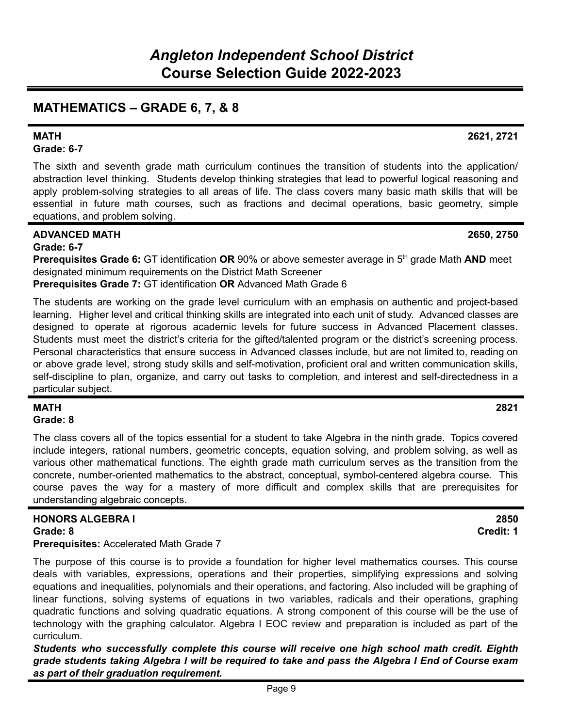# **MATHEMATICS – GRADE 6, 7, & 8**

# **Grade: 6-7**

The sixth and seventh grade math curriculum continues the transition of students into the application/ abstraction level thinking. Students develop thinking strategies that lead to powerful logical reasoning and apply problem-solving strategies to all areas of life. The class covers many basic math skills that will be essential in future math courses, such as fractions and decimal operations, basic geometry, simple equations, and problem solving.

## **ADVANCED MATH 2650, 2750**

**Grade: 6-7**

**Prerequisites Grade 6:** GT identification **OR** 90% or above semester average in 5 th grade Math **AND** meet designated minimum requirements on the District Math Screener

**Prerequisites Grade 7:** GT identification **OR** Advanced Math Grade 6

The students are working on the grade level curriculum with an emphasis on authentic and project-based learning. Higher level and critical thinking skills are integrated into each unit of study. Advanced classes are designed to operate at rigorous academic levels for future success in Advanced Placement classes. Students must meet the district's criteria for the gifted/talented program or the district's screening process. Personal characteristics that ensure success in Advanced classes include, but are not limited to, reading on or above grade level, strong study skills and self-motivation, proficient oral and written communication skills, self-discipline to plan, organize, and carry out tasks to completion, and interest and self-directedness in a particular subject.

#### **MATH 2821 Grade: 8**

The class covers all of the topics essential for a student to take Algebra in the ninth grade. Topics covered include integers, rational numbers, geometric concepts, equation solving, and problem solving, as well as various other mathematical functions. The eighth grade math curriculum serves as the transition from the concrete, number-oriented mathematics to the abstract, conceptual, symbol-centered algebra course. This course paves the way for a mastery of more difficult and complex skills that are prerequisites for understanding algebraic concepts.

# **HONORS ALGEBRA I 2850**

**Grade: 8 Credit: 1**

**Prerequisites:** Accelerated Math Grade 7

The purpose of this course is to provide a foundation for higher level mathematics courses. This course deals with variables, expressions, operations and their properties, simplifying expressions and solving equations and inequalities, polynomials and their operations, and factoring. Also included will be graphing of linear functions, solving systems of equations in two variables, radicals and their operations, graphing quadratic functions and solving quadratic equations. A strong component of this course will be the use of technology with the graphing calculator. Algebra I EOC review and preparation is included as part of the curriculum.

*Students who successfully complete this course will receive one high school math credit. Eighth* grade students taking Algebra I will be required to take and pass the Algebra I End of Course exam *as part of their graduation requirement.*

### **MATH 2621, 2721**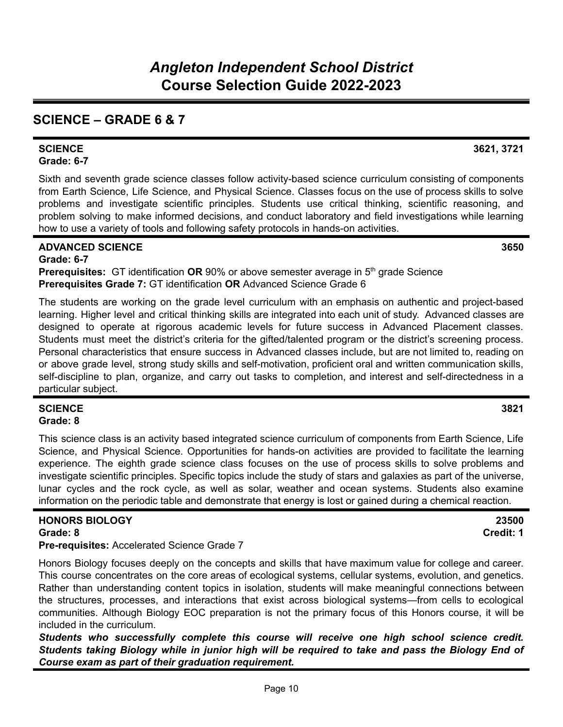# **SCIENCE – GRADE 6 & 7**

#### **SCIENCE 3621, 3721 Grade: 6-7**

Sixth and seventh grade science classes follow activity-based science curriculum consisting of components from Earth Science, Life Science, and Physical Science. Classes focus on the use of process skills to solve problems and investigate scientific principles. Students use critical thinking, scientific reasoning, and problem solving to make informed decisions, and conduct laboratory and field investigations while learning how to use a variety of tools and following safety protocols in hands-on activities.

### **ADVANCED SCIENCE 3650**

**Grade: 6-7 Prerequisites:** GT identification OR 90% or above semester average in 5<sup>th</sup> grade Science **Prerequisites Grade 7:** GT identification **OR** Advanced Science Grade 6

The students are working on the grade level curriculum with an emphasis on authentic and project-based learning. Higher level and critical thinking skills are integrated into each unit of study. Advanced classes are designed to operate at rigorous academic levels for future success in Advanced Placement classes. Students must meet the district's criteria for the gifted/talented program or the district's screening process. Personal characteristics that ensure success in Advanced classes include, but are not limited to, reading on or above grade level, strong study skills and self-motivation, proficient oral and written communication skills, self-discipline to plan, organize, and carry out tasks to completion, and interest and self-directedness in a particular subject.

### **SCIENCE 3821 Grade: 8**

This science class is an activity based integrated science curriculum of components from Earth Science, Life Science, and Physical Science. Opportunities for hands-on activities are provided to facilitate the learning experience. The eighth grade science class focuses on the use of process skills to solve problems and investigate scientific principles. Specific topics include the study of stars and galaxies as part of the universe, lunar cycles and the rock cycle, as well as solar, weather and ocean systems. Students also examine information on the periodic table and demonstrate that energy is lost or gained during a chemical reaction.

#### **HONORS BIOLOGY 23500 Grade: 8 Credit: 1**

**Pre-requisites:** Accelerated Science Grade 7

Honors Biology focuses deeply on the concepts and skills that have maximum value for college and career. This course concentrates on the core areas of ecological systems, cellular systems, evolution, and genetics. Rather than understanding content topics in isolation, students will make meaningful connections between the structures, processes, and interactions that exist across biological systems—from cells to ecological communities. Although Biology EOC preparation is not the primary focus of this Honors course, it will be included in the curriculum.

*Students who successfully complete this course will receive one high school science credit. Students taking Biology while in junior high will be required to take and pass the Biology End of Course exam as part of their graduation requirement.*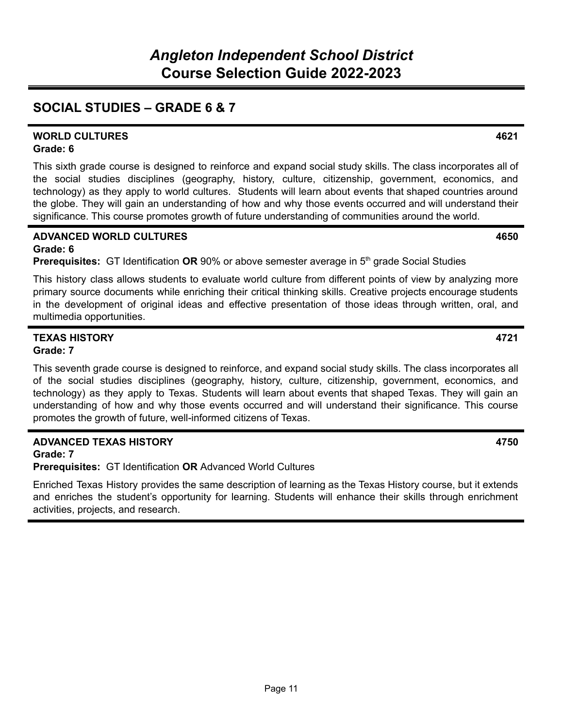# **SOCIAL STUDIES – GRADE 6 & 7**

#### **WORLD CULTURES 4621 Grade: 6**

This sixth grade course is designed to reinforce and expand social study skills. The class incorporates all of the social studies disciplines (geography, history, culture, citizenship, government, economics, and technology) as they apply to world cultures. Students will learn about events that shaped countries around the globe. They will gain an understanding of how and why those events occurred and will understand their significance. This course promotes growth of future understanding of communities around the world.

#### **ADVANCED WORLD CULTURES 4650 Grade: 6**

**Prerequisites:** GT Identification OR 90% or above semester average in 5<sup>th</sup> grade Social Studies

This history class allows students to evaluate world culture from different points of view by analyzing more primary source documents while enriching their critical thinking skills. Creative projects encourage students in the development of original ideas and effective presentation of those ideas through written, oral, and multimedia opportunities.

### **TEXAS HISTORY 4721 Grade: 7**

This seventh grade course is designed to reinforce, and expand social study skills. The class incorporates all of the social studies disciplines (geography, history, culture, citizenship, government, economics, and technology) as they apply to Texas. Students will learn about events that shaped Texas. They will gain an understanding of how and why those events occurred and will understand their significance. This course promotes the growth of future, well-informed citizens of Texas.

### **ADVANCED TEXAS HISTORY 4750**

**Grade: 7**

**Prerequisites:** GT Identification **OR** Advanced World Cultures

Enriched Texas History provides the same description of learning as the Texas History course, but it extends and enriches the student's opportunity for learning. Students will enhance their skills through enrichment activities, projects, and research.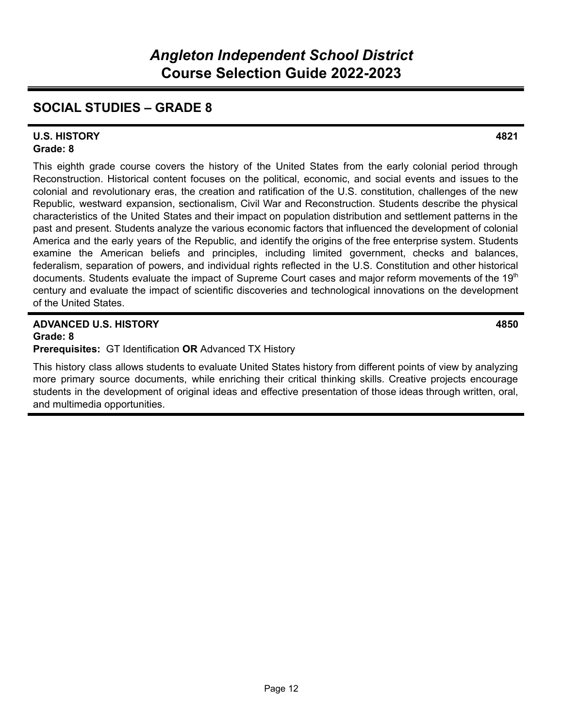# **SOCIAL STUDIES – GRADE 8**

#### **U.S. HISTORY 4821 Grade: 8**

This eighth grade course covers the history of the United States from the early colonial period through Reconstruction. Historical content focuses on the political, economic, and social events and issues to the colonial and revolutionary eras, the creation and ratification of the U.S. constitution, challenges of the new Republic, westward expansion, sectionalism, Civil War and Reconstruction. Students describe the physical characteristics of the United States and their impact on population distribution and settlement patterns in the past and present. Students analyze the various economic factors that influenced the development of colonial America and the early years of the Republic, and identify the origins of the free enterprise system. Students examine the American beliefs and principles, including limited government, checks and balances, federalism, separation of powers, and individual rights reflected in the U.S. Constitution and other historical documents. Students evaluate the impact of Supreme Court cases and major reform movements of the 19<sup>th</sup> century and evaluate the impact of scientific discoveries and technological innovations on the development of the United States.

#### **ADVANCED U.S. HISTORY 4850 Grade: 8**

**Prerequisites:** GT Identification **OR** Advanced TX History

This history class allows students to evaluate United States history from different points of view by analyzing more primary source documents, while enriching their critical thinking skills. Creative projects encourage students in the development of original ideas and effective presentation of those ideas through written, oral, and multimedia opportunities.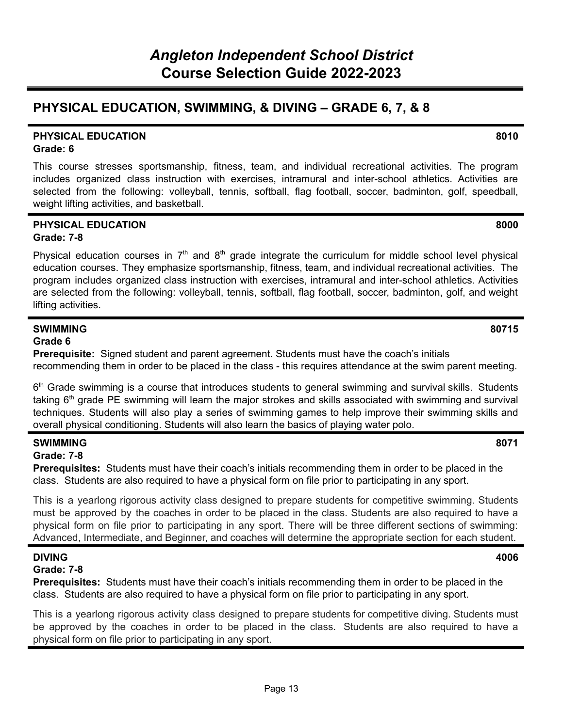# **PHYSICAL EDUCATION, SWIMMING, & DIVING – GRADE 6, 7, & 8**

#### **PHYSICAL EDUCATION 8010 Grade: 6**

This course stresses sportsmanship, fitness, team, and individual recreational activities. The program includes organized class instruction with exercises, intramural and inter-school athletics. Activities are selected from the following: volleyball, tennis, softball, flag football, soccer, badminton, golf, speedball, weight lifting activities, and basketball.

#### **PHYSICAL EDUCATION 8000 Grade: 7-8**

Physical education courses in  $7<sup>th</sup>$  and  $8<sup>th</sup>$  grade integrate the curriculum for middle school level physical education courses. They emphasize sportsmanship, fitness, team, and individual recreational activities. The program includes organized class instruction with exercises, intramural and inter-school athletics. Activities are selected from the following: volleyball, tennis, softball, flag football, soccer, badminton, golf, and weight lifting activities.

#### **SWIMMING 80715 Grade 6**

**Prerequisite:** Signed student and parent agreement. Students must have the coach's initials recommending them in order to be placed in the class - this requires attendance at the swim parent meeting.

6<sup>th</sup> Grade swimming is a course that introduces students to general swimming and survival skills. Students taking 6<sup>th</sup> grade PE swimming will learn the major strokes and skills associated with swimming and survival techniques. Students will also play a series of swimming games to help improve their swimming skills and overall physical conditioning. Students will also learn the basics of playing water polo.

### **SWIMMING 8071**

#### **Grade: 7-8**

**Prerequisites:** Students must have their coach's initials recommending them in order to be placed in the class. Students are also required to have a physical form on file prior to participating in any sport.

This is a yearlong rigorous activity class designed to prepare students for competitive swimming. Students must be approved by the coaches in order to be placed in the class. Students are also required to have a physical form on file prior to participating in any sport. There will be three different sections of swimming: Advanced, Intermediate, and Beginner, and coaches will determine the appropriate section for each student.

### **DIVING 4006**

### **Grade: 7-8**

**Prerequisites:** Students must have their coach's initials recommending them in order to be placed in the class. Students are also required to have a physical form on file prior to participating in any sport.

This is a yearlong rigorous activity class designed to prepare students for competitive diving. Students must be approved by the coaches in order to be placed in the class. Students are also required to have a physical form on file prior to participating in any sport.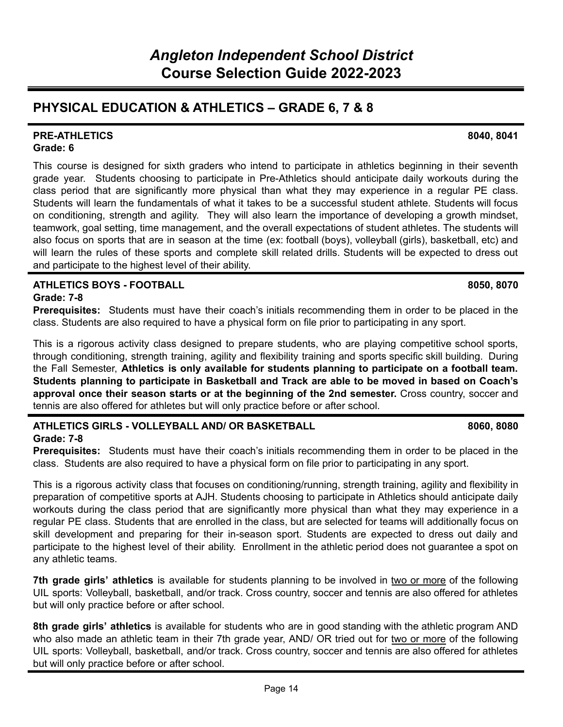# **PHYSICAL EDUCATION & ATHLETICS – GRADE 6, 7 & 8**

#### **PRE-ATHLETICS 8040, 8041 Grade: 6**

This course is designed for sixth graders who intend to participate in athletics beginning in their seventh grade year. Students choosing to participate in Pre-Athletics should anticipate daily workouts during the class period that are significantly more physical than what they may experience in a regular PE class. Students will learn the fundamentals of what it takes to be a successful student athlete. Students will focus on conditioning, strength and agility. They will also learn the importance of developing a growth mindset, teamwork, goal setting, time management, and the overall expectations of student athletes. The students will also focus on sports that are in season at the time (ex: football (boys), volleyball (girls), basketball, etc) and will learn the rules of these sports and complete skill related drills. Students will be expected to dress out and participate to the highest level of their ability.

#### **ATHLETICS BOYS - FOOTBALL 8050, 8070 Grade: 7-8**

**Prerequisites:** Students must have their coach's initials recommending them in order to be placed in the class. Students are also required to have a physical form on file prior to participating in any sport.

This is a rigorous activity class designed to prepare students, who are playing competitive school sports, through conditioning, strength training, agility and flexibility training and sports specific skill building. During the Fall Semester, **Athletics is only available for students planning to participate on a football team. Students planning to participate in Basketball and Track are able to be moved in based on Coach's approval once their season starts or at the beginning of the 2nd semester.** Cross country, soccer and tennis are also offered for athletes but will only practice before or after school.

# **ATHLETICS GIRLS - VOLLEYBALL AND/ OR BASKETBALL 8060, 8080**

**Grade: 7-8**

**Prerequisites:** Students must have their coach's initials recommending them in order to be placed in the class. Students are also required to have a physical form on file prior to participating in any sport.

This is a rigorous activity class that focuses on conditioning/running, strength training, agility and flexibility in preparation of competitive sports at AJH. Students choosing to participate in Athletics should anticipate daily workouts during the class period that are significantly more physical than what they may experience in a regular PE class. Students that are enrolled in the class, but are selected for teams will additionally focus on skill development and preparing for their in-season sport. Students are expected to dress out daily and participate to the highest level of their ability. Enrollment in the athletic period does not guarantee a spot on any athletic teams.

**7th grade girls' athletics** is available for students planning to be involved in two or more of the following UIL sports: Volleyball, basketball, and/or track. Cross country, soccer and tennis are also offered for athletes but will only practice before or after school.

**8th grade girls' athletics** is available for students who are in good standing with the athletic program AND who also made an athletic team in their 7th grade year, AND/ OR tried out for two or more of the following UIL sports: Volleyball, basketball, and/or track. Cross country, soccer and tennis are also offered for athletes but will only practice before or after school.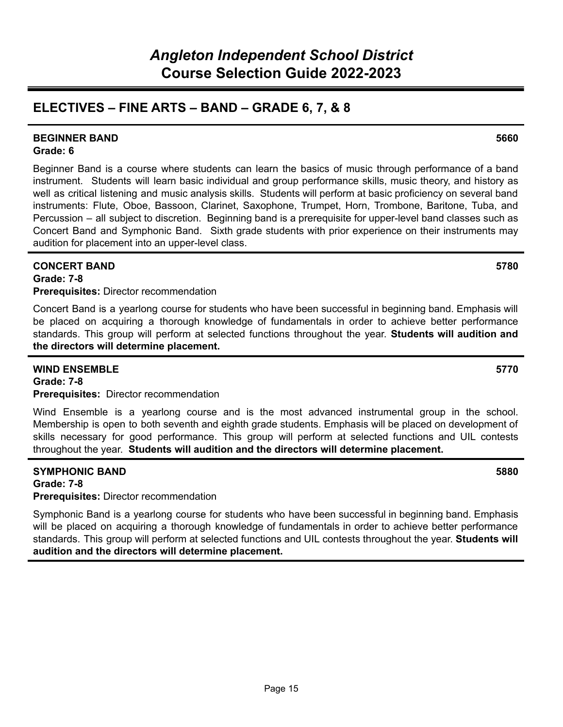# **ELECTIVES – FINE ARTS – BAND – GRADE 6, 7, & 8**

#### **BEGINNER BAND 5660 Grade: 6**

Beginner Band is a course where students can learn the basics of music through performance of a band instrument. Students will learn basic individual and group performance skills, music theory, and history as well as critical listening and music analysis skills. Students will perform at basic proficiency on several band instruments: Flute, Oboe, Bassoon, Clarinet, Saxophone, Trumpet, Horn, Trombone, Baritone, Tuba, and Percussion – all subject to discretion. Beginning band is a prerequisite for upper-level band classes such as Concert Band and Symphonic Band. Sixth grade students with prior experience on their instruments may audition for placement into an upper-level class.

### **CONCERT BAND 5780**

**Grade: 7-8**

**Prerequisites:** Director recommendation

Concert Band is a yearlong course for students who have been successful in beginning band. Emphasis will be placed on acquiring a thorough knowledge of fundamentals in order to achieve better performance standards. This group will perform at selected functions throughout the year. **Students will audition and the directors will determine placement.**

#### **WIND ENSEMBLE 5770**

**Grade: 7-8**

#### **Prerequisites:** Director recommendation

Wind Ensemble is a yearlong course and is the most advanced instrumental group in the school. Membership is open to both seventh and eighth grade students. Emphasis will be placed on development of skills necessary for good performance. This group will perform at selected functions and UIL contests throughout the year. **Students will audition and the directors will determine placement.**

#### **SYMPHONIC BAND 5880 Grade: 7-8 Prerequisites:** Director recommendation

Symphonic Band is a yearlong course for students who have been successful in beginning band. Emphasis will be placed on acquiring a thorough knowledge of fundamentals in order to achieve better performance standards. This group will perform at selected functions and UIL contests throughout the year. **Students will audition and the directors will determine placement.**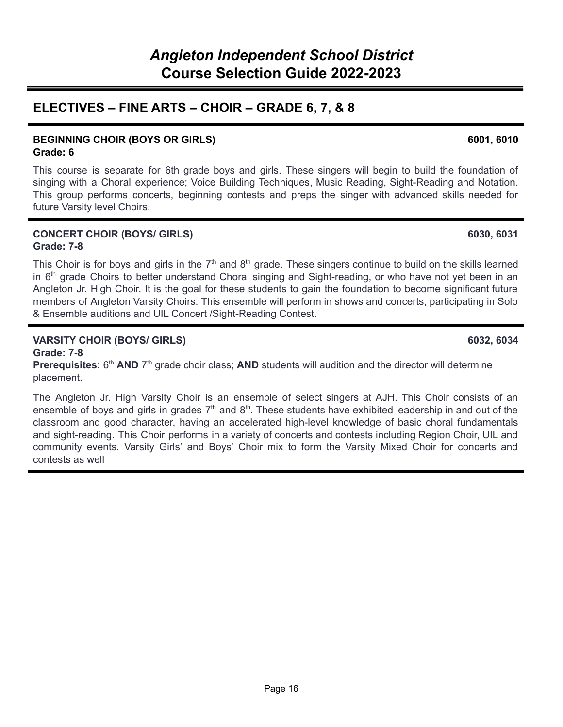# **ELECTIVES – FINE ARTS – CHOIR – GRADE 6, 7, & 8**

#### **BEGINNING CHOIR (BOYS OR GIRLS) 6001, 6010 Grade: 6**

This course is separate for 6th grade boys and girls. These singers will begin to build the foundation of singing with a Choral experience; Voice Building Techniques, Music Reading, Sight-Reading and Notation. This group performs concerts, beginning contests and preps the singer with advanced skills needed for future Varsity level Choirs.

#### **CONCERT CHOIR (BOYS/ GIRLS) 6030, 6031 Grade: 7-8**

This Choir is for boys and girls in the  $7<sup>th</sup>$  and  $8<sup>th</sup>$  grade. These singers continue to build on the skills learned in 6<sup>th</sup> grade Choirs to better understand Choral singing and Sight-reading, or who have not yet been in an Angleton Jr. High Choir. It is the goal for these students to gain the foundation to become significant future members of Angleton Varsity Choirs. This ensemble will perform in shows and concerts, participating in Solo & Ensemble auditions and UIL Concert /Sight-Reading Contest.

### **VARSITY CHOIR (BOYS/ GIRLS) 6032, 6034**

**Grade: 7-8** Prerequisites: 6<sup>th</sup> AND 7<sup>th</sup> grade choir class; AND students will audition and the director will determine placement.

The Angleton Jr. High Varsity Choir is an ensemble of select singers at AJH. This Choir consists of an ensemble of boys and girls in grades  $7<sup>th</sup>$  and  $8<sup>th</sup>$ . These students have exhibited leadership in and out of the classroom and good character, having an accelerated high-level knowledge of basic choral fundamentals and sight-reading. This Choir performs in a variety of concerts and contests including Region Choir, UIL and community events. Varsity Girls' and Boys' Choir mix to form the Varsity Mixed Choir for concerts and contests as well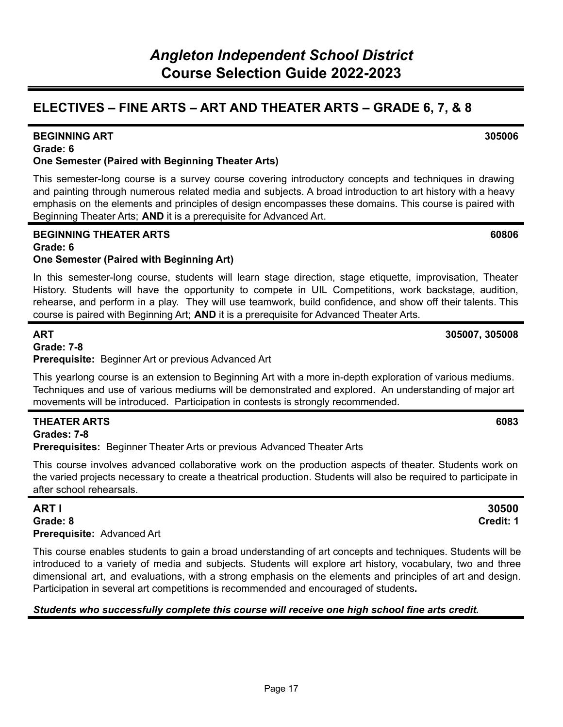# **ELECTIVES – FINE ARTS – ART AND THEATER ARTS – GRADE 6, 7, & 8**

## **One Semester (Paired with Beginning Theater Arts)**

This semester-long course is a survey course covering introductory concepts and techniques in drawing and painting through numerous related media and subjects. A broad introduction to art history with a heavy emphasis on the elements and principles of design encompasses these domains. This course is paired with Beginning Theater Arts; **AND** it is a prerequisite for Advanced Art.

### **BEGINNING THEATER ARTS 60806 Grade: 6**

## **One Semester (Paired with Beginning Art)**

In this semester-long course, students will learn stage direction, stage etiquette, improvisation, Theater History. Students will have the opportunity to compete in UIL Competitions, work backstage, audition, rehearse, and perform in a play. They will use teamwork, build confidence, and show off their talents. This course is paired with Beginning Art; **AND** it is a prerequisite for Advanced Theater Arts.

**ART 305007, 305008**

### **Grade: 7-8**

**Prerequisite:** Beginner Art or previous Advanced Art

This yearlong course is an extension to Beginning Art with a more in-depth exploration of various mediums. Techniques and use of various mediums will be demonstrated and explored. An understanding of major art movements will be introduced. Participation in contests is strongly recommended.

### **THEATER ARTS 6083**

**Grades: 7-8**

**Grade: 6**

**Prerequisites:** Beginner Theater Arts or previous Advanced Theater Arts

This course involves advanced collaborative work on the production aspects of theater. Students work on the varied projects necessary to create a theatrical production. Students will also be required to participate in after school rehearsals.

**Grade: 8 Credit: 1 Prerequisite:** Advanced Art

This course enables students to gain a broad understanding of art concepts and techniques. Students will be introduced to a variety of media and subjects. Students will explore art history, vocabulary, two and three dimensional art, and evaluations, with a strong emphasis on the elements and principles of art and design. Participation in several art competitions is recommended and encouraged of students**.**

### *Students who successfully complete this course will receive one high school fine arts credit.*

#### **BEGINNING ART 305006**

# **ART I 30500**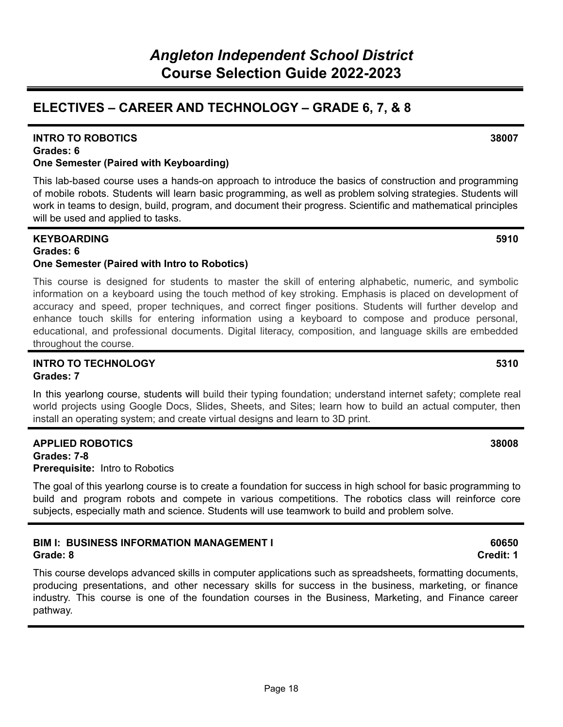## **ELECTIVES – CAREER AND TECHNOLOGY – GRADE 6, 7, & 8**

#### **Grades: 6 One Semester (Paired with Keyboarding)**

This lab-based course uses a hands-on approach to introduce the basics of construction and programming of mobile robots. Students will learn basic programming, as well as problem solving strategies. Students will work in teams to design, build, program, and document their progress. Scientific and mathematical principles will be used and applied to tasks.

#### **KEYBOARDING 5910 Grades: 6**

### **One Semester (Paired with Intro to Robotics)**

This course is designed for students to master the skill of entering alphabetic, numeric, and symbolic information on a keyboard using the touch method of key stroking. Emphasis is placed on development of accuracy and speed, proper techniques, and correct finger positions. Students will further develop and enhance touch skills for entering information using a keyboard to compose and produce personal, educational, and professional documents. Digital literacy, composition, and language skills are embedded throughout the course.

#### **INTRO TO TECHNOLOGY 5310 Grades: 7**

In this yearlong course, students will build their typing foundation; understand internet safety; complete real world projects using Google Docs, Slides, Sheets, and Sites; learn how to build an actual computer, then install an operating system; and create virtual designs and learn to 3D print.

#### **APPLIED ROBOTICS 38008**

**Grades: 7-8 Prerequisite:** Intro to Robotics

The goal of this yearlong course is to create a foundation for success in high school for basic programming to build and program robots and compete in various competitions. The robotics class will reinforce core subjects, especially math and science. Students will use teamwork to build and problem solve.

#### **BIM I: BUSINESS INFORMATION MANAGEMENT I 60650 Grade: 8 Credit: 1**

This course develops advanced skills in computer applications such as spreadsheets, formatting documents, producing presentations, and other necessary skills for success in the business, marketing, or finance industry. This course is one of the foundation courses in the Business, Marketing, and Finance career pathway.

#### **INTRO TO ROBOTICS 38007**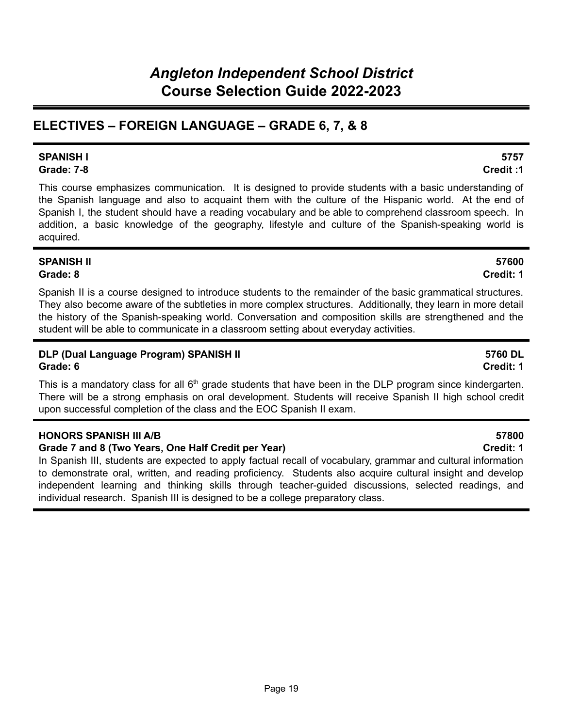# **ELECTIVES – FOREIGN LANGUAGE – GRADE 6, 7, & 8**

#### **SPANISH I 5757 Grade: 7-8 Credit :1**

This course emphasizes communication. It is designed to provide students with a basic understanding of the Spanish language and also to acquaint them with the culture of the Hispanic world. At the end of Spanish I, the student should have a reading vocabulary and be able to comprehend classroom speech. In addition, a basic knowledge of the geography, lifestyle and culture of the Spanish-speaking world is acquired.

### **SPANISH II 57600 Grade: 8 Credit: 1**

Spanish II is a course designed to introduce students to the remainder of the basic grammatical structures. They also become aware of the subtleties in more complex structures. Additionally, they learn in more detail the history of the Spanish-speaking world. Conversation and composition skills are strengthened and the student will be able to communicate in a classroom setting about everyday activities.

### **DLP (Dual Language Program) SPANISH II 5760 DL Grade: 6 Credit: 1**

This is a mandatory class for all  $6<sup>th</sup>$  grade students that have been in the DLP program since kindergarten. There will be a strong emphasis on oral development. Students will receive Spanish II high school credit upon successful completion of the class and the EOC Spanish II exam.

### **HONORS SPANISH III A/B 57800**

### **Grade 7 and 8 (Two Years, One Half Credit per Year) Credit: 1**

In Spanish III, students are expected to apply factual recall of vocabulary, grammar and cultural information to demonstrate oral, written, and reading proficiency. Students also acquire cultural insight and develop independent learning and thinking skills through teacher-guided discussions, selected readings, and individual research. Spanish III is designed to be a college preparatory class.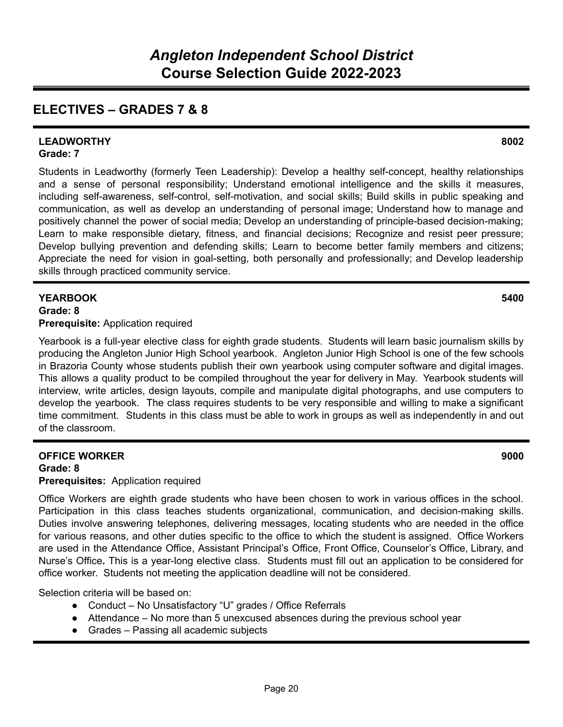# **ELECTIVES – GRADES 7 & 8**

#### **LEADWORTHY 8002 Grade: 7**

Students in Leadworthy (formerly Teen Leadership): Develop a healthy self-concept, healthy relationships and a sense of personal responsibility; Understand emotional intelligence and the skills it measures, including self-awareness, self-control, self-motivation, and social skills; Build skills in public speaking and communication, as well as develop an understanding of personal image; Understand how to manage and positively channel the power of social media; Develop an understanding of principle-based decision-making; Learn to make responsible dietary, fitness, and financial decisions; Recognize and resist peer pressure; Develop bullying prevention and defending skills; Learn to become better family members and citizens; Appreciate the need for vision in goal-setting, both personally and professionally; and Develop leadership skills through practiced community service.

### **YEARBOOK 5400 Grade: 8**

### **Prerequisite:** Application required

Yearbook is a full-year elective class for eighth grade students. Students will learn basic journalism skills by producing the Angleton Junior High School yearbook. Angleton Junior High School is one of the few schools in Brazoria County whose students publish their own yearbook using computer software and digital images. This allows a quality product to be compiled throughout the year for delivery in May. Yearbook students will interview, write articles, design layouts, compile and manipulate digital photographs, and use computers to develop the yearbook. The class requires students to be very responsible and willing to make a significant time commitment. Students in this class must be able to work in groups as well as independently in and out of the classroom.

## **OFFICE WORKER 9000 Grade: 8**

**Prerequisites:** Application required

Office Workers are eighth grade students who have been chosen to work in various offices in the school. Participation in this class teaches students organizational, communication, and decision-making skills. Duties involve answering telephones, delivering messages, locating students who are needed in the office for various reasons, and other duties specific to the office to which the student is assigned. Office Workers are used in the Attendance Office, Assistant Principal's Office, Front Office, Counselor's Office, Library, and Nurse's Office**.** This is a year-long elective class. Students must fill out an application to be considered for office worker. Students not meeting the application deadline will not be considered.

Selection criteria will be based on:

- Conduct No Unsatisfactory "U" grades / Office Referrals
- Attendance No more than 5 unexcused absences during the previous school year
- Grades Passing all academic subjects